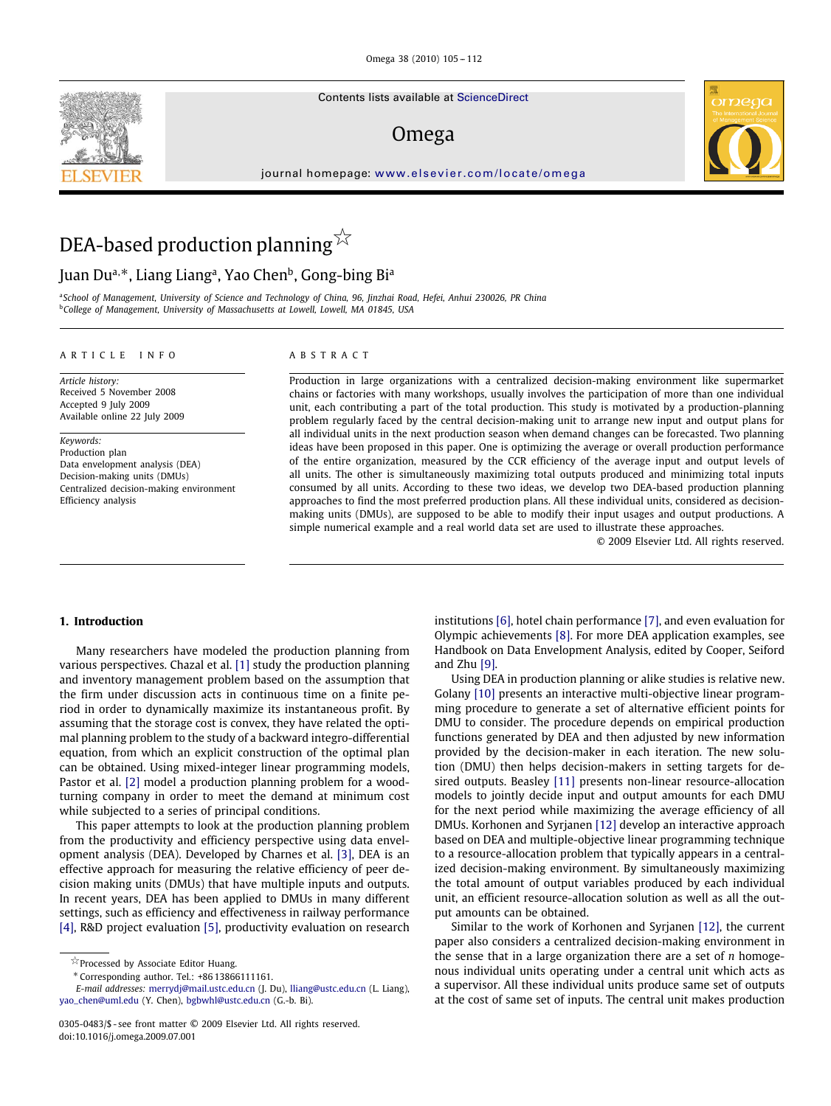Contents lists available at [ScienceDirect](http://www.sciencedirect.com/science/journal/omega)

## Omega

journal homepage: [www.elsevier.com/locate/omega](http://www.elsevier.com/locate/omega)



# DEA-based production planning  $\stackrel{\sim}{\Join}$

## Juan Du<sup>a,∗</sup>, Liang Liang<sup>a</sup>, Yao Chen<sup>b</sup>, Gong-bing Bi<sup>a</sup>

<sup>a</sup>*School of Management, University of Science and Technology of China, 96, Jinzhai Road, Hefei, Anhui 230026, PR China* <sup>b</sup>*College of Management, University of Massachusetts at Lowell, Lowell, MA 01845, USA*

## ARTICLE INFO ABSTRACT

*Article history:* Received 5 November 2008 Accepted 9 July 2009 Available online 22 July 2009

*Keywords:* Production plan Data envelopment analysis (DEA) Decision-making units (DMUs) Centralized decision-making environment Efficiency analysis

Production in large organizations with a centralized decision-making environment like supermarket chains or factories with many workshops, usually involves the participation of more than one individual unit, each contributing a part of the total production. This study is motivated by a production-planning problem regularly faced by the central decision-making unit to arrange new input and output plans for all individual units in the next production season when demand changes can be forecasted. Two planning ideas have been proposed in this paper. One is optimizing the average or overall production performance of the entire organization, measured by the CCR efficiency of the average input and output levels of all units. The other is simultaneously maximizing total outputs produced and minimizing total inputs consumed by all units. According to these two ideas, we develop two DEA-based production planning approaches to find the most preferred production plans. All these individual units, considered as decisionmaking units (DMUs), are supposed to be able to modify their input usages and output productions. A simple numerical example and a real world data set are used to illustrate these approaches.

© 2009 Elsevier Ltd. All rights reserved.

## **1. Introduction**

Many researchers have modeled the production planning from various perspectives. Chazal et al. [\[1\]](#page--1-0) study the production planning and inventory management problem based on the assumption that the firm under discussion acts in continuous time on a finite period in order to dynamically maximize its instantaneous profit. By assuming that the storage cost is convex, they have related the optimal planning problem to the study of a backward integro-differential equation, from which an explicit construction of the optimal plan can be obtained. Using mixed-integer linear programming models, Pastor et al. [\[2\]](#page--1-1) model a production planning problem for a woodturning company in order to meet the demand at minimum cost while subjected to a series of principal conditions.

This paper attempts to look at the production planning problem from the productivity and efficiency perspective using data envelopment analysis (DEA). Developed by Charnes et al. [\[3\],](#page--1-2) DEA is an effective approach for measuring the relative efficiency of peer decision making units (DMUs) that have multiple inputs and outputs. In recent years, DEA has been applied to DMUs in many different settings, such as efficiency and effectiveness in railway performance [\[4\],](#page--1-3) R&D project evaluation [\[5\],](#page--1-4) productivity evaluation on research

∗ Corresponding author. Tel.: +86 13866111161.

institutions [\[6\],](#page--1-5) hotel chain performance [\[7\],](#page--1-6) and even evaluation for Olympic achievements [\[8\].](#page--1-7) For more DEA application examples, see Handbook on Data Envelopment Analysis, edited by Cooper, Seiford and Zhu [\[9\].](#page--1-8)

Using DEA in production planning or alike studies is relative new. Golany [\[10\]](#page--1-9) presents an interactive multi-objective linear programming procedure to generate a set of alternative efficient points for DMU to consider. The procedure depends on empirical production functions generated by DEA and then adjusted by new information provided by the decision-maker in each iteration. The new solution (DMU) then helps decision-makers in setting targets for desired outputs. Beasley [\[11\]](#page--1-10) presents non-linear resource-allocation models to jointly decide input and output amounts for each DMU for the next period while maximizing the average efficiency of all DMUs. Korhonen and Syrjanen [\[12\]](#page--1-11) develop an interactive approach based on DEA and multiple-objective linear programming technique to a resource-allocation problem that typically appears in a centralized decision-making environment. By simultaneously maximizing the total amount of output variables produced by each individual unit, an efficient resource-allocation solution as well as all the output amounts can be obtained.

Similar to the work of Korhonen and Syrjanen [\[12\],](#page--1-11) the current paper also considers a centralized decision-making environment in the sense that in a large organization there are a set of *n* homogenous individual units operating under a central unit which acts as a supervisor. All these individual units produce same set of outputs at the cost of same set of inputs. The central unit makes production



 $\overleftrightarrow{\mathbb{R}}$  Processed by Associate Editor Huang.

*E-mail addresses:* [merrydj@mail.ustc.edu.cn](mailto:merrydj@mail.ustc.edu.cn) (J. Du), [lliang@ustc.edu.cn](mailto:lliang@ustc.edu.cn) (L. Liang), [yao\\_chen@uml.edu](mailto:yao_chen@uml.edu) (Y. Chen), [bgbwhl@ustc.edu.cn](mailto:bgbwhl@ustc.edu.cn) (G.-b. Bi).

<sup>0305-0483/\$ -</sup> see front matter © 2009 Elsevier Ltd. All rights reserved. doi:10.1016/j.omega.2009.07.001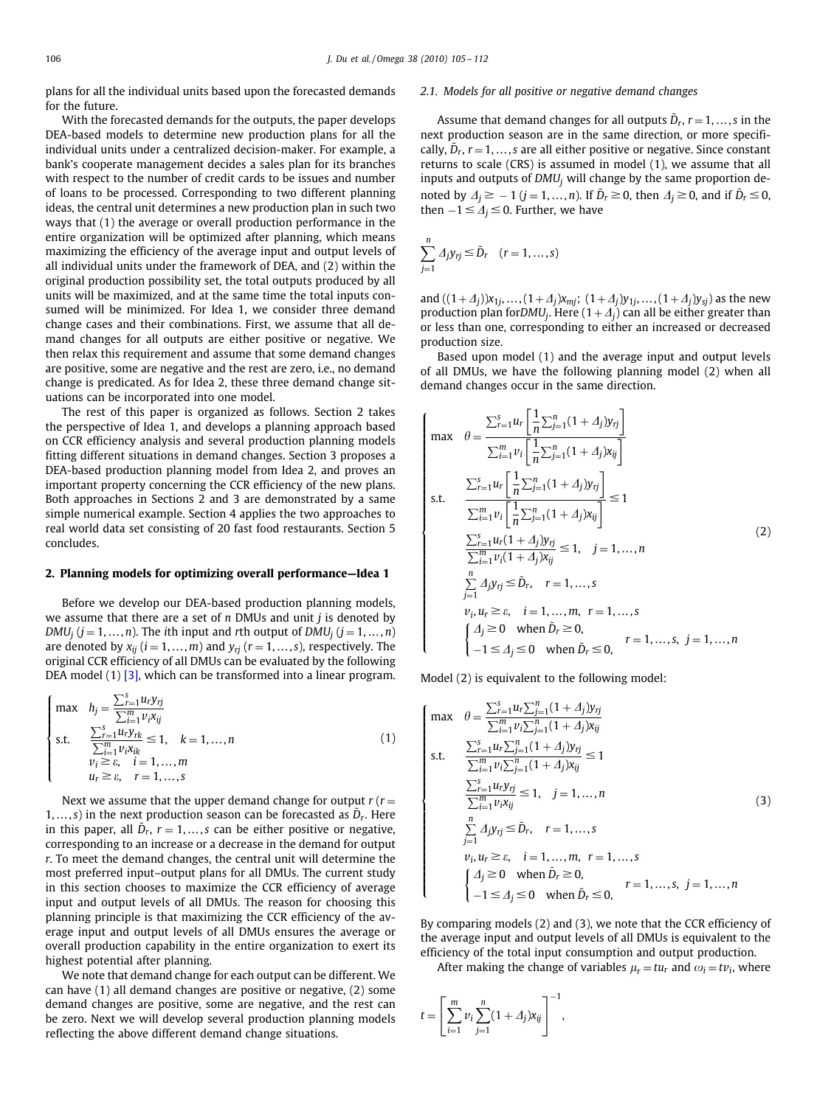plans for all the individual units based upon the forecasted demands for the future.

With the forecasted demands for the outputs, the paper develops DEA-based models to determine new production plans for all the individual units under a centralized decision-maker. For example, a bank's cooperate management decides a sales plan for its branches with respect to the number of credit cards to be issues and number of loans to be processed. Corresponding to two different planning ideas, the central unit determines a new production plan in such two ways that (1) the average or overall production performance in the entire organization will be optimized after planning, which means maximizing the efficiency of the average input and output levels of all individual units under the framework of DEA, and (2) within the original production possibility set, the total outputs produced by all units will be maximized, and at the same time the total inputs consumed will be minimized. For Idea 1, we consider three demand change cases and their combinations. First, we assume that all demand changes for all outputs are either positive or negative. We then relax this requirement and assume that some demand changes are positive, some are negative and the rest are zero, i.e., no demand change is predicated. As for Idea 2, these three demand change situations can be incorporated into one model.

The rest of this paper is organized as follows. Section 2 takes the perspective of Idea 1, and develops a planning approach based on CCR efficiency analysis and several production planning models fitting different situations in demand changes. Section 3 proposes a DEA-based production planning model from Idea 2, and proves an important property concerning the CCR efficiency of the new plans. Both approaches in Sections 2 and 3 are demonstrated by a same simple numerical example. Section 4 applies the two approaches to real world data set consisting of 20 fast food restaurants. Section 5 concludes.

### **2. Planning models for optimizing overall performance—Idea 1**

Before we develop our DEA-based production planning models, we assume that there are a set of *n* DMUs and unit *j* is denoted by *DMU<sub>i</sub>* ( $j = 1, ..., n$ ). The *i*th input and *r*th output of *DMU<sub>i</sub>* ( $j = 1, ..., n$ ) are denoted by  $x_{ij}$  ( $i = 1, ..., m$ ) and  $y_{ri}$  ( $r = 1, ..., s$ ), respectively. The original CCR efficiency of all DMUs can be evaluated by the following DEA model (1) [\[3\],](#page--1-2) which can be transformed into a linear program.

$$
\begin{cases}\n\max & h_j = \frac{\sum_{r=1}^{s} u_r y_{rj}}{\sum_{i=1}^{m} v_i x_{ij}} \\
\text{s.t.} & \frac{\sum_{r=1}^{s} u_r y_{rk}}{\sum_{i=1}^{m} v_i x_{ik}} \le 1, \quad k = 1, ..., n \\
& v_i \ge \varepsilon, \quad i = 1, ..., m \\
& u_r \ge \varepsilon, \quad r = 1, ..., s\n\end{cases} \tag{1}
$$

Next we assume that the upper demand change for output  $r(r=$ 1, ..., *s*) in the next production season can be forecasted as  $\tilde{D}_r$ . Here in this paper, all  $\tilde{D}_r$ ,  $r = 1, \ldots, s$  can be either positive or negative, corresponding to an increase or a decrease in the demand for output *r*. To meet the demand changes, the central unit will determine the most preferred input–output plans for all DMUs. The current study in this section chooses to maximize the CCR efficiency of average input and output levels of all DMUs. The reason for choosing this planning principle is that maximizing the CCR efficiency of the average input and output levels of all DMUs ensures the average or overall production capability in the entire organization to exert its highest potential after planning.

We note that demand change for each output can be different. We can have (1) all demand changes are positive or negative, (2) some demand changes are positive, some are negative, and the rest can be zero. Next we will develop several production planning models reflecting the above different demand change situations.

### *2.1. Models for all positive or negative demand changes*

Assume that demand changes for all outputs  $\tilde{D}_r$ ,  $r = 1, \ldots, s$  in the next production season are in the same direction, or more specifically,  $\ddot{D}_r$ ,  $r = 1, \ldots, s$  are all either positive or negative. Since constant returns to scale (CRS) is assumed in model (1), we assume that all inputs and outputs of *DMUj* will change by the same proportion denoted by  $\Delta_j \ge -1$  ( $j = 1, ..., n$ ). If  $\tilde{D}_r \ge 0$ , then  $\Delta_j \ge 0$ , and if  $\tilde{D}_r \le 0$ , then  $-1 \leq \Delta_j \leq 0$ . Further, we have

$$
\sum_{j=1}^n \Delta_j y_{rj} \leq \tilde{D}_r \quad (r = 1, \dots, s)
$$

and  $((1+\Delta_j))x_{1j}, \ldots, (1+\Delta_j)x_{mj}$ ;  $(1+\Delta_j)y_{1j}, \ldots, (1+\Delta_j)y_{sj}$ ) as the new production plan for*DMU<sub>j</sub>*. Here  $(1+A_j)$  can all be either greater than or less than one, corresponding to either an increased or decreased production size.

Based upon model (1) and the average input and output levels of all DMUs, we have the following planning model (2) when all demand changes occur in the same direction.

$$
\begin{cases}\n\max \quad \theta = \frac{\sum_{r=1}^{s} u_r \left[ \frac{1}{n} \sum_{j=1}^{n} (1 + A_j) y_{rj} \right]}{\sum_{i=1}^{m} v_i \left[ \frac{1}{n} \sum_{j=1}^{n} (1 + A_j) x_{ij} \right]} \\
\text{s.t.} \quad \frac{\sum_{r=1}^{s} u_r \left[ \frac{1}{n} \sum_{j=1}^{n} (1 + A_j) y_{rj} \right]}{\sum_{i=1}^{m} v_i \left[ \frac{1}{n} \sum_{j=1}^{n} (1 + A_j) x_{ij} \right]} \le 1 \\
\frac{\sum_{i=1}^{s} u_r (1 + A_j) y_{rj}}{\sum_{i=1}^{m} v_i (1 + A_j) x_{ij}} \le 1, \quad j = 1, ..., n \\
\frac{n}{\sum_{j=1}^{n} A_j y_{rj}} \le \tilde{D}_r, \quad r = 1, ..., s \\
v_i, u_r \ge \varepsilon, \quad i = 1, ..., m, \quad r = 1, ..., s \\
\{A_j \ge 0 \quad \text{when } \tilde{D}_r \ge 0, \\
-1 \le A_j \le 0 \quad \text{when } \tilde{D}_r \le 0, \quad r = 1, ..., s, \quad j = 1, ..., n\n\end{cases}
$$
\n(2)

Model (2) is equivalent to the following model:

$$
\begin{cases}\n\max \quad \theta = \frac{\sum_{i=1}^{s} u_i \sum_{j=1}^{n} (1 + d_j) y_{rj}}{\sum_{i=1}^{m} v_i \sum_{j=1}^{n} (1 + d_j) x_{ij}} \\
\text{s.t.} \quad \frac{\sum_{i=1}^{s} u_r \sum_{j=1}^{n} (1 + d_j) y_{rj}}{\sum_{i=1}^{m} v_i \sum_{j=1}^{n} (1 + d_j) x_{ij}} \le 1 \\
\frac{\sum_{i=1}^{s} u_r y_{rj}}{\sum_{i=1}^{m} v_i x_{ij}} \le 1, \quad j = 1, ..., n \\
\frac{n}{\sum_{j=1}^{n} d_j y_{rj}} \le \tilde{D}_r, \quad r = 1, ..., s \\
v_i, u_r \ge \varepsilon, \quad i = 1, ..., m, \quad r = 1, ..., s \\
d_j \ge 0 \quad \text{when } \tilde{D}_r \ge 0, \\
-1 \le d_j \le 0 \quad \text{when } \tilde{D}_r \le 0, \quad r = 1, ..., s, \quad j = 1, ..., n\n\end{cases}
$$
\n(3)

By comparing models (2) and (3), we note that the CCR efficiency of the average input and output levels of all DMUs is equivalent to the efficiency of the total input consumption and output production.

After making the change of variables  $\mu_r = t u_r$  and  $\omega_i = t v_i$ , where

$$
t = \left[ \sum_{i=1}^{m} v_i \sum_{j=1}^{n} (1 + \Delta_j) x_{ij} \right]^{-1},
$$